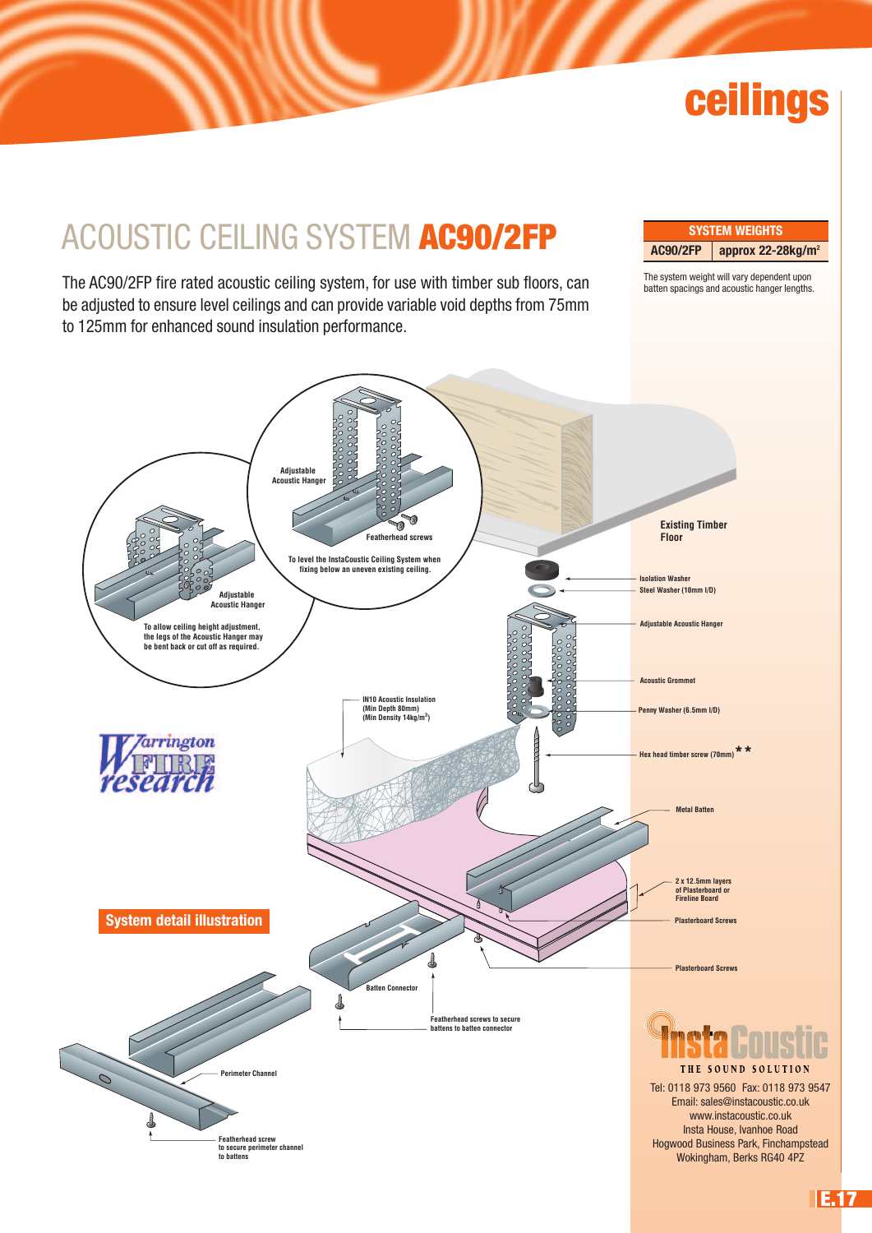# **ceilings**

## ACOUSTIC CEILING SYSTEM **AC90/2FP**

The AC90/2FP fire rated acoustic ceiling system, for use with timber sub floors, can be adjusted to ensure level ceilings and can provide variable void depths from 75mm to 125mm for enhanced sound insulation performance.

**SYSTEM WEIGHTS AC90/2FP approx 22-28kg/m2**

The system weight will vary dependent upon batten spacings and acoustic hanger lengths.